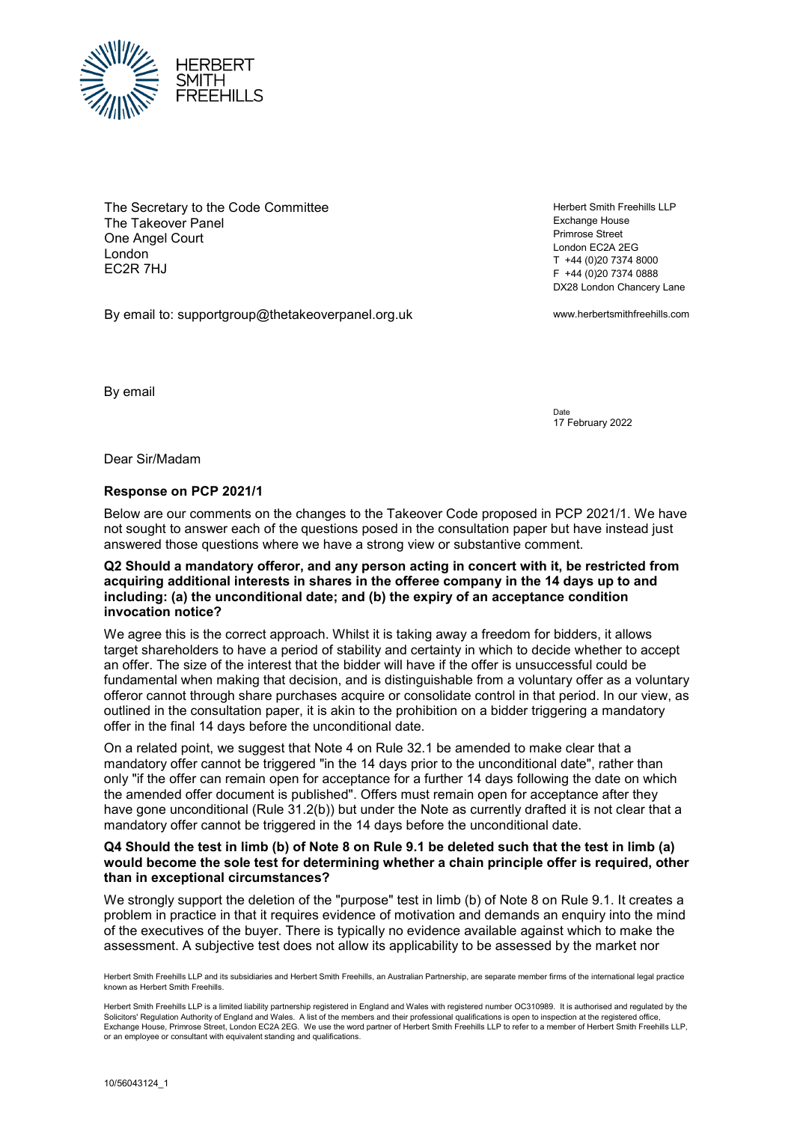

The Secretary to the Code Committee The Takeover Panel One Angel Court London EC2R 7HJ

By email to: supportgroup@thetakeoverpanel.org.uk

Herbert Smith Freehills LLP Exchange House Primrose Street London EC2A 2EG T +44 (0)20 7374 8000 F +44 (0)20 7374 0888 DX28 London Chancery Lane

www.herbertsmithfreehills.com

By email

Date 17 February 2022

Dear Sir/Madam

## **Response on PCP 2021/1**

Below are our comments on the changes to the Takeover Code proposed in PCP 2021/1. We have not sought to answer each of the questions posed in the consultation paper but have instead just answered those questions where we have a strong view or substantive comment.

## **Q2 Should a mandatory offeror, and any person acting in concert with it, be restricted from acquiring additional interests in shares in the offeree company in the 14 days up to and including: (a) the unconditional date; and (b) the expiry of an acceptance condition invocation notice?**

We agree this is the correct approach. Whilst it is taking away a freedom for bidders, it allows target shareholders to have a period of stability and certainty in which to decide whether to accept an offer. The size of the interest that the bidder will have if the offer is unsuccessful could be fundamental when making that decision, and is distinguishable from a voluntary offer as a voluntary offeror cannot through share purchases acquire or consolidate control in that period. In our view, as outlined in the consultation paper, it is akin to the prohibition on a bidder triggering a mandatory offer in the final 14 days before the unconditional date.

On a related point, we suggest that Note 4 on Rule 32.1 be amended to make clear that a mandatory offer cannot be triggered "in the 14 days prior to the unconditional date", rather than only "if the offer can remain open for acceptance for a further 14 days following the date on which the amended offer document is published". Offers must remain open for acceptance after they have gone unconditional (Rule 31.2(b)) but under the Note as currently drafted it is not clear that a mandatory offer cannot be triggered in the 14 days before the unconditional date.

## **Q4 Should the test in limb (b) of Note 8 on Rule 9.1 be deleted such that the test in limb (a) would become the sole test for determining whether a chain principle offer is required, other than in exceptional circumstances?**

We strongly support the deletion of the "purpose" test in limb (b) of Note 8 on Rule 9.1. It creates a problem in practice in that it requires evidence of motivation and demands an enquiry into the mind of the executives of the buyer. There is typically no evidence available against which to make the assessment. A subjective test does not allow its applicability to be assessed by the market nor

Herbert Smith Freehills LLP and its subsidiaries and Herbert Smith Freehills, an Australian Partnership, are separate member firms of the international legal practice known as Herbert Smith Freehills.

Herbert Smith Freehills LLP is a limited liability partnership registered in England and Wales with registered number OC310989. It is authorised and regulated by the Solicitors' Regulation Authority of England and Wales. A list of the members and their professional qualifications is open to inspection at the registered office Exchange House, Primrose Street, London EC2A 2EG. We use the word partner of Herbert Smith Freehills LLP to refer to a member of Herbert Smith Freehills LLP, or an employee or consultant with equivalent standing and qualifications.